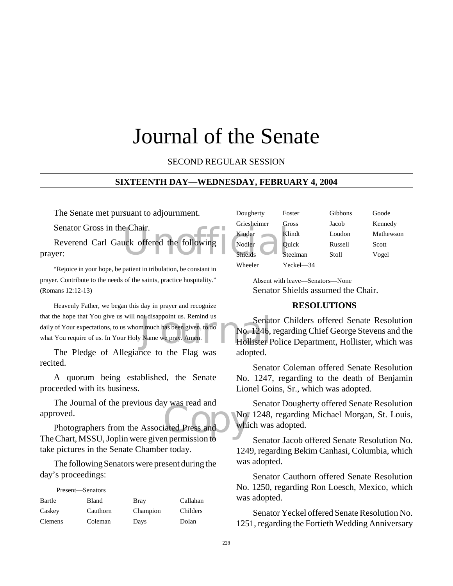# Journal of the Senate

#### SECOND REGULAR SESSION

#### **SIXTEENTH DAY—WEDNESDAY, FEBRUARY 4, 2004**

The Senate met pursuant to adjournment.

Senator Gross in the Chair.

e Chair.<br>
uck offered the following Nodler Current Contract Current Current Current Current Current Current Current Current Current Current Current Current Current Current Current Current Current Current Current Current Cu Reverend Carl Gauck offered the following prayer:

"Rejoice in your hope, be patient in tribulation, be constant in prayer. Contribute to the needs of the saints, practice hospitality." (Romans 12:12-13)

ot disappoint us. Remind us<br>
m much has been given, to do<br>
No. 1246,<br>
No. 1246,<br>
Hollister F Heavenly Father, we began this day in prayer and recognize that the hope that You give us will not disappoint us. Remind us daily of Your expectations, to us whom much has been given, to do what You require of us. In Your Holy Name we pray. Amen.

The Pledge of Allegiance to the Flag was recited.

A quorum being established, the Senate proceeded with its business.

The Journal of the previous day was read and approved.

was read and<br>iated Press and a while<br>in permission to Photographers from the Associated Press and The Chart, MSSU, Joplin were given permission to take pictures in the Senate Chamber today.

The following Senators were present during the day's proceedings:

| Present—Senators |          |             |          |
|------------------|----------|-------------|----------|
| Bartle           | Bland    | <b>Bray</b> | Callahan |
| Caskey           | Cauthorn | Champion    | Childers |
| Clemens          | Coleman  | Days        | Dolan    |

| Dougherty   | Foster       | Gibbons | Goode     |
|-------------|--------------|---------|-----------|
| Griesheimer | Gross        | Jacob   | Kennedy   |
| Kinder      | Klindt       | Loudon  | Mathewson |
| Nodler      | <b>Ouick</b> | Russell | Scott     |
| Shields     | Steelman     | Stoll   | Vogel     |
| Wheeler     | Yeckel—34    |         |           |

Absent with leave—Senators—None Senator Shields assumed the Chair.

## **RESOLUTIONS**

Senator Childers offered Senate Resolution No. 1246, regarding Chief George Stevens and the Hollister Police Department, Hollister, which was adopted.

Senator Coleman offered Senate Resolution No. 1247, regarding to the death of Benjamin Lionel Goins, Sr., which was adopted.

Senator Dougherty offered Senate Resolution No. 1248, regarding Michael Morgan, St. Louis, which was adopted.

Senator Jacob offered Senate Resolution No. 1249, regarding Bekim Canhasi, Columbia, which was adopted.

Senator Cauthorn offered Senate Resolution No. 1250, regarding Ron Loesch, Mexico, which was adopted.

Senator Yeckel offered Senate Resolution No. 1251, regarding the Fortieth Wedding Anniversary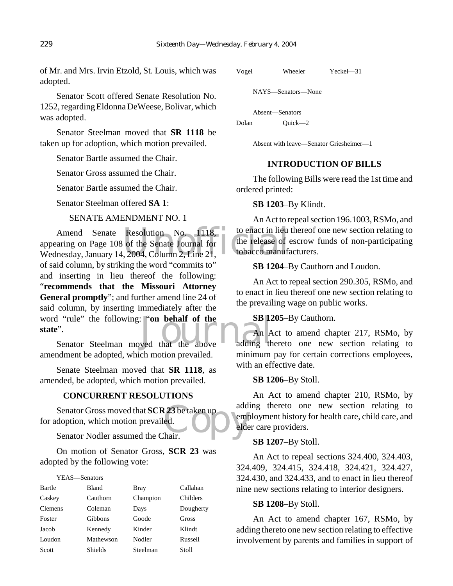of Mr. and Mrs. Irvin Etzold, St. Louis, which was adopted.

Senator Scott offered Senate Resolution No. 1252, regarding Eldonna DeWeese, Bolivar, which was adopted.

Senator Steelman moved that **SR 1118** be taken up for adoption, which motion prevailed.

Senator Bartle assumed the Chair.

Senator Gross assumed the Chair.

Senator Bartle assumed the Chair.

Senator Steelman offered **SA 1**:

#### SENATE AMENDMENT NO. 1

Amend Senate Resolution No. 1118, to enact in lieu<br>
appearing on Page 108 of the Senate Journal for the release of wednesday, January 14, 2004, Column 2, Line 21, word "rule" the following: "**on behalf of the**<br> **State**".<br>
Senator Steelman moved that the above adding the Amend Senate Resolution No. 1118, appearing on Page 108 of the Senate Journal for of said column, by striking the word "commits to" and inserting in lieu thereof the following: "**recommends that the Missouri Attorney General promptly**"; and further amend line 24 of said column, by inserting immediately after the **state**".

Senator Steelman moved that the above amendment be adopted, which motion prevailed.

Senate Steelman moved that **SR 1118**, as amended, be adopted, which motion prevailed.

#### **CONCURRENT RESOLUTIONS**

Senator Gross moved that **SCR 23** be taken up<br>
doption, which motion prevailed.<br>
Senator Nodler assumed the Chair. for adoption, which motion prevailed.

Senator Nodler assumed the Chair.

On motion of Senator Gross, **SCR 23** was adopted by the following vote:

| YEAS—Senators  |                |             |           |
|----------------|----------------|-------------|-----------|
| Bartle         | <b>Bland</b>   | <b>Bray</b> | Callahan  |
| Caskey         | Cauthorn       | Champion    | Childers  |
| <b>Clemens</b> | Coleman        | Days        | Dougherty |
| Foster         | Gibbons        | Goode       | Gross     |
| Jacob          | Kennedy        | Kinder      | Klindt    |
| Loudon         | Mathewson      | Nodler      | Russell   |
| Scott          | <b>Shields</b> | Steelman    | Stoll     |

```
Vogel Wheeler Yeckel—31
```
NAYS—Senators—None

Absent—Senators

Dolan Ouick—2

Absent with leave—Senator Griesheimer—1

## **INTRODUCTION OF BILLS**

The following Bills were read the 1st time and ordered printed:

#### **SB 1203**–By Klindt.

An Act to repeal section 196.1003, RSMo, and to enact in lieu thereof one new section relating to the release of escrow funds of non-participating tobacco manufacturers.

**SB 1204**–By Cauthorn and Loudon.

An Act to repeal section 290.305, RSMo, and to enact in lieu thereof one new section relating to the prevailing wage on public works.

#### **SB 1205**–By Cauthorn.

An Act to amend chapter 217, RSMo, by adding thereto one new section relating to minimum pay for certain corrections employees, with an effective date.

#### **SB 1206**–By Stoll.

An Act to amend chapter 210, RSMo, by adding thereto one new section relating to employment history for health care, child care, and elder care providers.

#### **SB 1207**–By Stoll.

An Act to repeal sections 324.400, 324.403, 324.409, 324.415, 324.418, 324.421, 324.427, 324.430, and 324.433, and to enact in lieu thereof nine new sections relating to interior designers.

#### **SB 1208**–By Stoll.

An Act to amend chapter 167, RSMo, by adding thereto one new section relating to effective involvement by parents and families in support of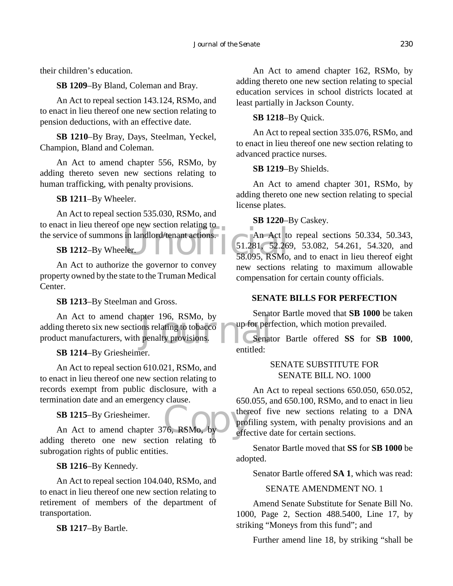their children's education.

**SB 1209**–By Bland, Coleman and Bray.

An Act to repeal section 143.124, RSMo, and to enact in lieu thereof one new section relating to pension deductions, with an effective date.

**SB 1210**–By Bray, Days, Steelman, Yeckel, Champion, Bland and Coleman.

An Act to amend chapter 556, RSMo, by adding thereto seven new sections relating to human trafficking, with penalty provisions.

**SB 1211**–By Wheeler.

the service of summons in landlord/tenant actions.<br>
Subsettion Catalogue Contractions.<br>
Subsetting the Service of summons in landlord/tenant actions.<br>
Subsetting the Contractions.<br>
Subsetting the Contractions.<br>
Subsetting An Act to repeal section 535.030, RSMo, and to enact in lieu thereof one new section relating to

#### **SB 1212**–By Wheeler.

An Act to authorize the governor to convey property owned by the state to the Truman Medical Center.

**SB 1213**–By Steelman and Gross.

pter 196, RSMo, by<br>
ons relating to tobacco<br>
penalty provisions.<br>
Senat An Act to amend chapter 196, RSMo, by adding thereto six new sections relating to tobacco product manufacturers, with penalty provisions.

## **SB 1214**–By Griesheimer.

An Act to repeal section 610.021, RSMo, and to enact in lieu thereof one new section relating to records exempt from public disclosure, with a termination date and an emergency clause.

**SB 1215**–By Griesheimer.

SB 1215–By Griesheimer.<br>An Act to amend chapter 376, RSMo, by effe adding thereto one new section relating to subrogation rights of public entities.

**SB 1216**–By Kennedy.

An Act to repeal section 104.040, RSMo, and to enact in lieu thereof one new section relating to retirement of members of the department of transportation.

**SB 1217**–By Bartle.

An Act to amend chapter 162, RSMo, by adding thereto one new section relating to special education services in school districts located at least partially in Jackson County.

## **SB 1218**–By Quick.

An Act to repeal section 335.076, RSMo, and to enact in lieu thereof one new section relating to advanced practice nurses.

#### **SB 1219**–By Shields.

An Act to amend chapter 301, RSMo, by adding thereto one new section relating to special license plates.

#### **SB 1220**–By Caskey.

An Act to repeal sections 50.334, 50.343, 51.281, 52.269, 53.082, 54.261, 54.320, and 58.095, RSMo, and to enact in lieu thereof eight new sections relating to maximum allowable compensation for certain county officials.

## **SENATE BILLS FOR PERFECTION**

Senator Bartle moved that **SB 1000** be taken up for perfection, which motion prevailed.

Senator Bartle offered **SS** for **SB 1000**, entitled:

#### SENATE SUBSTITUTE FOR SENATE BILL NO. 1000

An Act to repeal sections 650.050, 650.052, 650.055, and 650.100, RSMo, and to enact in lieu thereof five new sections relating to a DNA profiling system, with penalty provisions and an effective date for certain sections.

Senator Bartle moved that **SS** for **SB 1000** be adopted.

Senator Bartle offered **SA 1**, which was read:

#### SENATE AMENDMENT NO. 1

Amend Senate Substitute for Senate Bill No. 1000, Page 2, Section 488.5400, Line 17, by striking "Moneys from this fund"; and

Further amend line 18, by striking "shall be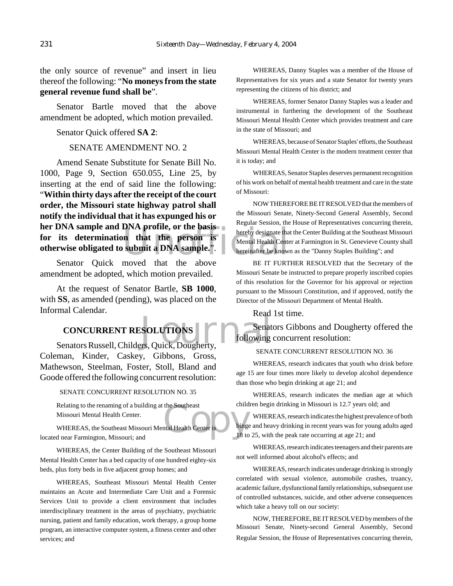the only source of revenue" and insert in lieu thereof the following: "**No moneys from the state general revenue fund shall be**".

Senator Bartle moved that the above amendment be adopted, which motion prevailed.

Senator Quick offered **SA 2**:

#### SENATE AMENDMENT NO. 2

Unofficial Amend Senate Substitute for Senate Bill No. 1000, Page 9, Section 650.055, Line 25, by inserting at the end of said line the following: "**Within thirty days after the receipt of the court order, the Missouri state highway patrol shall notify the individual that it has expunged his or her DNA sample and DNA profile, or the basis for its determination that the person is otherwise obligated to submit a DNA sample.**".

Senator Quick moved that the above amendment be adopted, which motion prevailed.

At the request of Senator Bartle, **SB 1000**, with **SS**, as amended (pending), was placed on the Informal Calendar.

# **CONCURRENT RESOLUTIONS**

CONCURRENT RESOLUTIONS<br>
Senators Russell, Childers, Quick, Dougherty, Coleman, Kinder, Caskey, Gibbons, Gross, Mathewson, Steelman, Foster, Stoll, Bland and Goode offered the following concurrent resolution:

SENATE CONCURRENT RESOLUTION NO. 35

Relating to the renaming of a building at the Southeast Missouri Mental Health Center.

the Southeast<br>
that Health Center is binge<br>
18 to WHEREAS, the Southeast Missouri Mental Health Center is located near Farmington, Missouri; and

WHEREAS, the Center Building of the Southeast Missouri Mental Health Center has a bed capacity of one hundred eighty-six beds, plus forty beds in five adjacent group homes; and

WHEREAS, Southeast Missouri Mental Health Center maintains an Acute and Intermediate Care Unit and a Forensic Services Unit to provide a client environment that includes interdisciplinary treatment in the areas of psychiatry, psychiatric nursing, patient and family education, work therapy, a group home program, an interactive computer system, a fitness center and other services; and

WHEREAS, Danny Staples was a member of the House of Representatives for six years and a state Senator for twenty years representing the citizens of his district; and

WHEREAS, former Senator Danny Staples was a leader and instrumental in furthering the development of the Southeast Missouri Mental Health Center which provides treatment and care in the state of Missouri; and

WHEREAS, because of Senator Staples' efforts, the Southeast Missouri Mental Health Center is the modern treatment center that it is today; and

WHEREAS, Senator Staples deserves permanent recognition of his work on behalf of mental health treatment and care in the state of Missouri:

NOW THEREFORE BE IT RESOLVED that the members of the Missouri Senate, Ninety-Second General Assembly, Second Regular Session, the House of Representatives concurring therein, hereby designate that the Center Building at the Southeast Missouri Mental Health Center at Farmington in St. Genevieve County shall hereinafter be known as the "Danny Staples Building"; and

BE IT FURTHER RESOLVED that the Secretary of the Missouri Senate be instructed to prepare properly inscribed copies of this resolution for the Governor for his approval or rejection pursuant to the Missouri Constitution, and if approved, notify the Director of the Missouri Department of Mental Health.

Read 1st time.

Senators Gibbons and Dougherty offered the following concurrent resolution:

#### SENATE CONCURRENT RESOLUTION NO. 36

WHEREAS, research indicates that youth who drink before age 15 are four times more likely to develop alcohol dependence than those who begin drinking at age 21; and

WHEREAS, research indicates the median age at which children begin drinking in Missouri is 12.7 years old; and

WHEREAS, research indicates the highest prevalence of both binge and heavy drinking in recent years was for young adults aged 18 to 25, with the peak rate occurring at age 21; and

WHEREAS, research indicates teenagers and their parents are not well informed about alcohol's effects; and

WHEREAS, research indicates underage drinking is strongly correlated with sexual violence, automobile crashes, truancy, academic failure, dysfunctional family relationships, subsequent use of controlled substances, suicide, and other adverse consequences which take a heavy toll on our society:

NOW, THEREFORE, BE IT RESOLVED by members of the Missouri Senate, Ninety-second General Assembly, Second Regular Session, the House of Representatives concurring therein,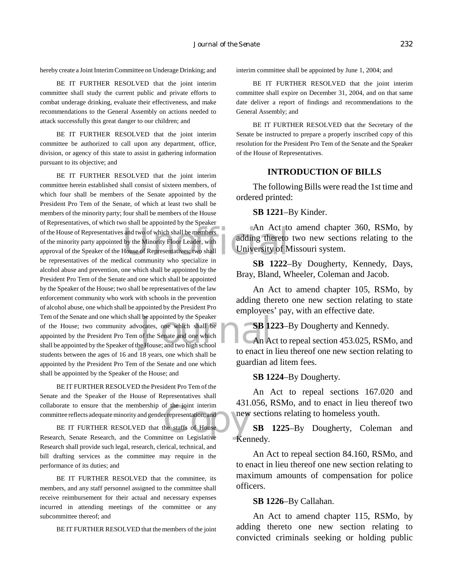BE IT FURTHER RESOLVED that the joint interim committee shall study the current public and private efforts to combat underage drinking, evaluate their effectiveness, and make recommendations to the General Assembly on actions needed to attack successfully this great danger to our children; and

BE IT FURTHER RESOLVED that the joint interim committee be authorized to call upon any department, office, division, or agency of this state to assist in gathering information pursuant to its objective; and

of the House of Representatives and two of which shall be members of the minority party appointed by the Minority Floor Leader, with and ding thereto approval of the Speaker of the House of Representatives; two shall Unive be appointed by the Speaker<br>
ocates, one which shall be<br>
of the Senate and one which<br>
E House; and two high school<br>
to appear in BE IT FURTHER RESOLVED that the joint interim committee herein established shall consist of sixteen members, of which four shall be members of the Senate appointed by the President Pro Tem of the Senate, of which at least two shall be members of the minority party; four shall be members of the House of Representatives, of which two shall be appointed by the Speaker of the minority party appointed by the Minority Floor Leader, with approval of the Speaker of the House of Representatives; two shall be representatives of the medical community who specialize in alcohol abuse and prevention, one which shall be appointed by the President Pro Tem of the Senate and one which shall be appointed by the Speaker of the House; two shall be representatives of the law enforcement community who work with schools in the prevention of alcohol abuse, one which shall be appointed by the President Pro Tem of the Senate and one which shall be appointed by the Speaker of the House; two community advocates, one which shall be appointed by the President Pro Tem of the Senate and one which shall be appointed by the Speaker of the House; and two high school students between the ages of 16 and 18 years, one which shall be appointed by the President Pro Tem of the Senate and one which shall be appointed by the Speaker of the House; and

BE IT FURTHER RESOLVED the President Pro Tem of the Senate and the Speaker of the House of Representatives shall collaborate to ensure that the membership of the joint interim committee reflects adequate minority and gender representation; and

of the joint interim<br>
representation; and<br>
the staffs of House<br>
tite on Legislative BE IT FURTHER RESOLVED that the staffs of House Research, Senate Research, and the Committee on Legislative Research shall provide such legal, research, clerical, technical, and bill drafting services as the committee may require in the performance of its duties; and

BE IT FURTHER RESOLVED that the committee, its members, and any staff personnel assigned to the committee shall receive reimbursement for their actual and necessary expenses incurred in attending meetings of the committee or any subcommittee thereof; and

BE IT FURTHER RESOLVED that the members of the joint

interim committee shall be appointed by June 1, 2004; and

BE IT FURTHER RESOLVED that the joint interim committee shall expire on December 31, 2004, and on that same date deliver a report of findings and recommendations to the General Assembly; and

BE IT FURTHER RESOLVED that the Secretary of the Senate be instructed to prepare a properly inscribed copy of this resolution for the President Pro Tem of the Senate and the Speaker of the House of Representatives.

#### **INTRODUCTION OF BILLS**

The following Bills were read the 1st time and ordered printed:

**SB 1221**–By Kinder.

An Act to amend chapter 360, RSMo, by adding thereto two new sections relating to the University of Missouri system.

**SB 1222**–By Dougherty, Kennedy, Days, Bray, Bland, Wheeler, Coleman and Jacob.

An Act to amend chapter 105, RSMo, by adding thereto one new section relating to state employees' pay, with an effective date.

**SB 1223–By Dougherty and Kennedy.** 

An Act to repeal section 453.025, RSMo, and to enact in lieu thereof one new section relating to guardian ad litem fees.

**SB 1224**–By Dougherty.

An Act to repeal sections 167.020 and 431.056, RSMo, and to enact in lieu thereof two new sections relating to homeless youth.

**SB 1225**–By Dougherty, Coleman and Kennedy.

An Act to repeal section 84.160, RSMo, and to enact in lieu thereof one new section relating to maximum amounts of compensation for police officers.

**SB 1226**–By Callahan.

An Act to amend chapter 115, RSMo, by adding thereto one new section relating to convicted criminals seeking or holding public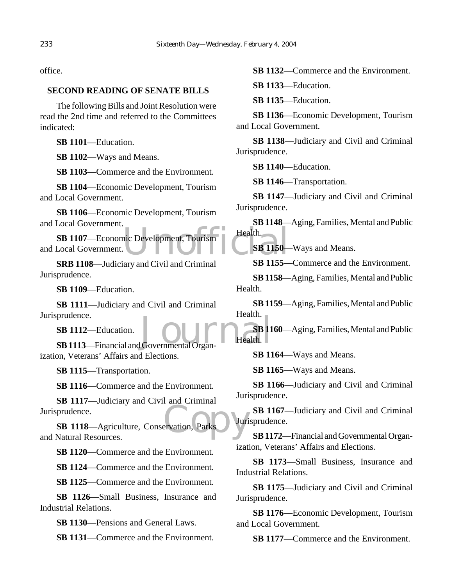office.

## **SECOND READING OF SENATE BILLS**

The following Bills and Joint Resolution were read the 2nd time and referred to the Committees indicated:

**SB 1101**—Education.

**SB 1102**—Ways and Means.

**SB 1103**—Commerce and the Environment.

**SB 1104**—Economic Development, Tourism and Local Government.

**SB 1106**—Economic Development, Tourism and Local Government.

NET DE LA CONTENTINATION **SB 1107**—Economic Development, Tourism and Local Government.

**SRB 1108**—Judiciary and Civil and Criminal Jurisprudence.

**SB 1109**—Education.

**SB 1111**—Judiciary and Civil and Criminal Jurisprudence.

**SB 1112**—Education.

prudence.<br> **SB 1112**—Education.<br> **SB 1113**—Financial and Governmental Organ-Health. ization, Veterans' Affairs and Elections.

**SB 1115**—Transportation.

**SB 1116**—Commerce and the Environment.

**SB 1117**—Judiciary and Civil and Criminal Jurisprudence.

Parks Juri **SB 1118**—Agriculture, Conservation, Parks and Natural Resources.

**SB 1120**—Commerce and the Environment.

**SB 1124**—Commerce and the Environment.

**SB 1125**—Commerce and the Environment.

**SB 1126**—Small Business, Insurance and Industrial Relations.

**SB 1130**—Pensions and General Laws.

**SB 1131**—Commerce and the Environment.

**SB 1132**—Commerce and the Environment.

**SB 1133**—Education.

**SB 1135**—Education.

**SB 1136**—Economic Development, Tourism and Local Government.

**SB 1138**—Judiciary and Civil and Criminal Jurisprudence.

**SB 1140**—Education.

**SB 1146**—Transportation.

**SB 1147**—Judiciary and Civil and Criminal Jurisprudence.

**SB 1148**—Aging, Families, Mental and Public Health.

**SB 1150**—Ways and Means.

**SB 1155**—Commerce and the Environment.

**SB 1158**—Aging, Families, Mental and Public Health.

**SB 1159**—Aging, Families, Mental and Public Health.

**SB 1160**—Aging, Families, Mental and Public Health.

**SB 1164**—Ways and Means.

**SB 1165**—Ways and Means.

**SB 1166**—Judiciary and Civil and Criminal Jurisprudence.

**SB 1167**—Judiciary and Civil and Criminal Jurisprudence.

**SB 1172**—Financial and Governmental Organization, Veterans' Affairs and Elections.

**SB 1173**—Small Business, Insurance and Industrial Relations.

**SB 1175**—Judiciary and Civil and Criminal Jurisprudence.

**SB 1176**—Economic Development, Tourism and Local Government.

**SB 1177**—Commerce and the Environment.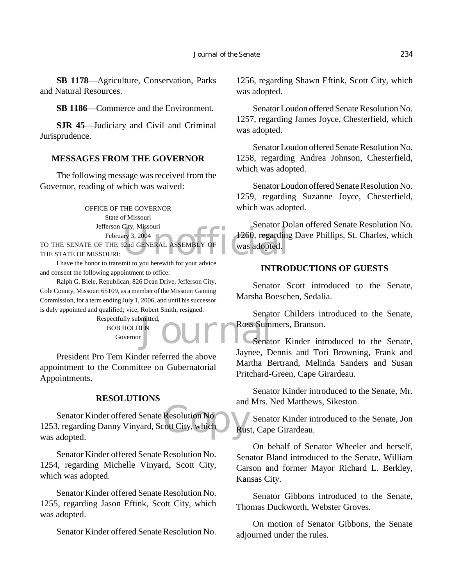**SB 1178**—Agriculture, Conservation, Parks and Natural Resources.

**SB 1186**—Commerce and the Environment.

**SJR 45**—Judiciary and Civil and Criminal Jurisprudence.

## **MESSAGES FROM THE GOVERNOR**

The following message was received from the Governor, reading of which was waived:

> OFFICE OF THE GOVERNOR State of Missouri Jefferson City, Missouri February 3, 2004

TO THE SENATE OF THE 92nd GENERAL ASSEMBLY OF THE STATE OF MISSOURI:

I have the honor to transmit to you herewith for your advice and consent the following appointment to office:

Ralph G. Biele, Republican, 826 Dean Drive, Jefferson City, Cole County, Missouri 65109, as a member of the Missouri Gaming Commission, for a term ending July 1, 2006, and until his successor is duly appointed and qualified; vice, Robert Smith, resigned.

> Respectfully submitted, BOB HOLDEN Governor

President Pro Tem Kinder referred the above appointment to the Committee on Gubernatorial Appointments.

#### **RESOLUTIONS**

Resolution No. Senator Kinder offered Senate Resolution No. 1253, regarding Danny Vinyard, Scott City, which was adopted.

Senator Kinder offered Senate Resolution No. 1254, regarding Michelle Vinyard, Scott City, which was adopted.

Senator Kinder offered Senate Resolution No. 1255, regarding Jason Eftink, Scott City, which was adopted.

Senator Kinder offered Senate Resolution No.

1256, regarding Shawn Eftink, Scott City, which was adopted.

Senator Loudon offered Senate Resolution No. 1257, regarding James Joyce, Chesterfield, which was adopted.

Senator Loudon offered Senate Resolution No. 1258, regarding Andrea Johnson, Chesterfield, which was adopted.

Senator Loudon offered Senate Resolution No. 1259, regarding Suzanne Joyce, Chesterfield, which was adopted.

City, Missouri<br>
ury 3, 2004<br>
Pand GENERAL ASSEMBLY OF Was adopted. Senator Dolan offered Senate Resolution No. 1260, regarding Dave Phillips, St. Charles, which was adopted.

## **INTRODUCTIONS OF GUESTS**

Senator Scott introduced to the Senate, Marsha Boeschen, Sedalia.

EN DUITE Ross Sum Senator Childers introduced to the Senate, Ross Summers, Branson.

Senator Kinder introduced to the Senate, Jaynee, Dennis and Tori Browning, Frank and Martha Bertrand, Melinda Sanders and Susan Pritchard-Green, Cape Girardeau.

Senator Kinder introduced to the Senate, Mr. and Mrs. Ned Matthews, Sikeston.

Senator Kinder introduced to the Senate, Jon Rust, Cape Girardeau.

On behalf of Senator Wheeler and herself, Senator Bland introduced to the Senate, William Carson and former Mayor Richard L. Berkley, Kansas City.

Senator Gibbons introduced to the Senate, Thomas Duckworth, Webster Groves.

On motion of Senator Gibbons, the Senate adjourned under the rules.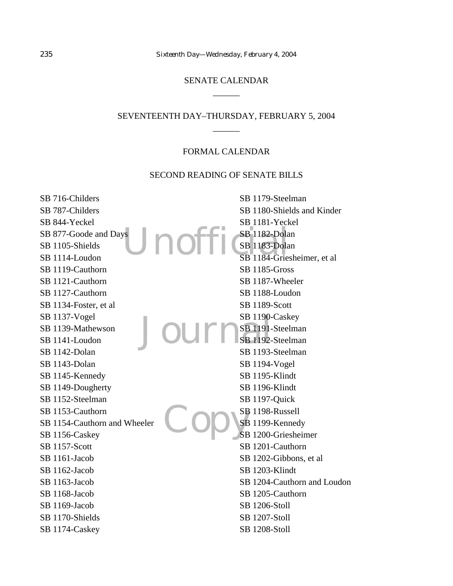# SENATE CALENDAR  $\overline{\phantom{a}}$

# SEVENTEENTH DAY–THURSDAY, FEBRUARY 5, 2004  $\overline{\phantom{a}}$

#### FORMAL CALENDAR

#### SECOND READING OF SENATE BILLS

SE 1182-Dola<br>SB 1183-Dola<br>SB 1184-Gries JournsB1190-Copys SB 716-Childers SB 787-Childers SB 844-Yeckel SB 877-Goode and Days SB 1105-Shields SB 1114-Loudon SB 1119-Cauthorn SB 1121-Cauthorn SB 1127-Cauthorn SB 1134-Foster, et al SB 1137-Vogel SB 1139-Mathewson SB 1141-Loudon SB 1142-Dolan SB 1143-Dolan SB 1145-Kennedy SB 1149-Dougherty SB 1152-Steelman SB 1153-Cauthorn SB 1154-Cauthorn and Wheeler SB 1156-Caskey SB 1157-Scott SB 1161-Jacob SB 1162-Jacob SB 1163-Jacob SB 1168-Jacob SB 1169-Jacob SB 1170-Shields SB 1174-Caskey SB 1179-Steelman SB 1180-Shields and Kinder SB 1181-Yeckel SB 1182-Dolan SB 1183-Dolan SB 1184-Griesheimer, et al SB 1185-Gross SB 1187-Wheeler SB 1188-Loudon SB 1189-Scott SB 1190-Caskey SB 1191-Steelman SB 1192-Steelman SB 1193-Steelman SB 1194-Vogel SB 1195-Klindt SB 1196-Klindt SB 1197-Quick SB 1198-Russell SB 1199-Kennedy SB 1200-Griesheimer SB 1201-Cauthorn SB 1202-Gibbons, et al SB 1203-Klindt SB 1204-Cauthorn and Loudon SB 1205-Cauthorn SB 1206-Stoll SB 1207-Stoll SB 1208-Stoll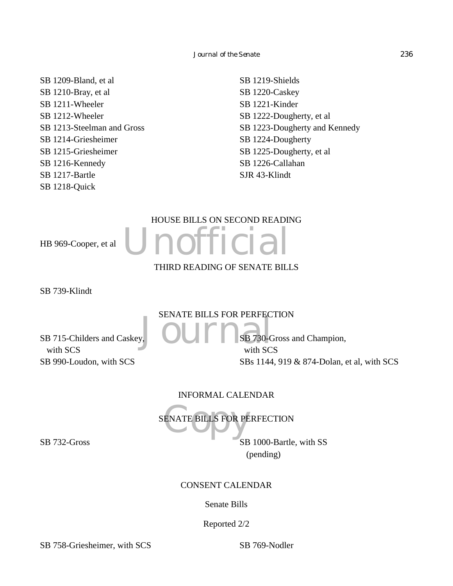SB 1209-Bland, et al SB 1210-Bray, et al SB 1211-Wheeler SB 1212-Wheeler SB 1213-Steelman and Gross SB 1214-Griesheimer SB 1215-Griesheimer SB 1216-Kennedy SB 1217-Bartle SB 1218-Quick

SB 1219-Shields SB 1220-Caskey SB 1221-Kinder SB 1222-Dougherty, et al SB 1223-Dougherty and Kennedy SB 1224-Dougherty SB 1225-Dougherty, et al SB 1226-Callahan SJR 43-Klindt

# HOUSE BILLS ON SECOND READING

HB 969-Cooper, et al

Unofficial THIRD READING OF SENATE BILLS

SB 739-Klindt

SENATE BILLS FOR PERFECTION

SB 715-Childers and Caskey, with SCS SB 990-Loudon, with SCS

JOURIS FOR FERFEC SB 730-Gross and Champion, with SCS SBs 1144, 919 & 874-Dolan, et al, with SCS

INFORMAL CALENDAR

ENATE BILLS FOR PE SENATE BILLS FOR PERFECTION

SB 732-Gross SB 1000-Bartle, with SS (pending)

CONSENT CALENDAR

Senate Bills

Reported 2/2

SB 758-Griesheimer, with SCS SB 769-Nodler